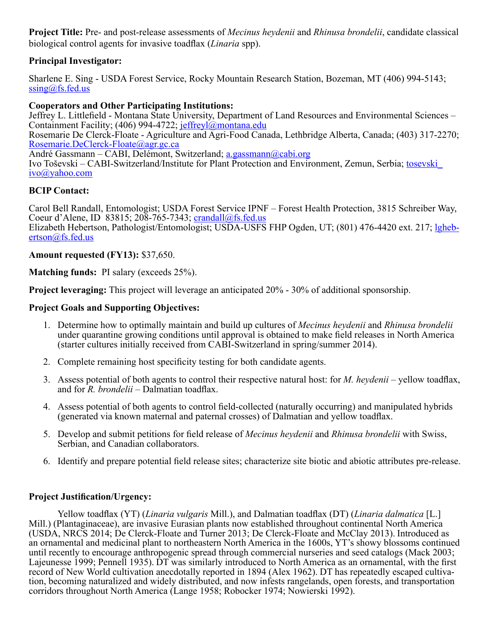**Project Title:** Pre- and post-release assessments of *Mecinus heydenii* and *Rhinusa brondelii*, candidate classical biological control agents for invasive toadflax (*Linaria* spp).

## **Principal Investigator:**

Sharlene E. Sing - USDA Forest Service, Rocky Mountain Research Station, Bozeman, MT (406) 994-5143; [ssing@fs.fed.us](mailto:ssing@fs.fed.us)

## **Cooperators and Other Participating Institutions:**

Jeffrey L. Littlefield - Montana State University, Department of Land Resources and Environmental Sciences – Containment Facility; (406) 994-4722; [jeffreyl@montana.edu](mailto:jeffreyl@montana.edu)

Rosemarie De Clerck-Floate - Agriculture and Agri-Food Canada, Lethbridge Alberta, Canada; (403) 317-2270; [Rosemarie.DeClerck-Floate@agr.gc.ca](mailto:Rosemarie.DeClerck-Floate@agr.gc.ca)

André Gassmann – CABI, Delémont, Switzerland; [a.gassmann@cabi.org](mailto:a.gassmann@cabi.org)

Ivo Toševski – CABI-Switzerland/Institute for Plant Protection and Environment, Zemun, Serbia; [tosevski\\_](mailto:tosevski_ivo@yahoo.com) [ivo@yahoo.com](mailto:tosevski_ivo@yahoo.com)

## **BCIP Contact:**

Carol Bell Randall, Entomologist; USDA Forest Service IPNF – Forest Health Protection, 3815 Schreiber Way, Coeur d'Alene, ID 83815; 208-765-7343; [crandall@fs.fed.us](mailto:crandall@fs.fed.us) Elizabeth Hebertson, Pathologist/Entomologist; USDA-USFS FHP Ogden, UT; (801) 476-4420 ext. 217; [lgheb](mailto:lghebertson@fs.fed.us)[ertson@fs.fed.us](mailto:lghebertson@fs.fed.us)

## **Amount requested (FY13):** \$37,650.

**Matching funds:** PI salary (exceeds 25%).

**Project leveraging:** This project will leverage an anticipated 20% - 30% of additional sponsorship.

## **Project Goals and Supporting Objectives:**

- 1. Determine how to optimally maintain and build up cultures of *Mecinus heydenii* and *Rhinusa brondelii* under quarantine growing conditions until approval is obtained to make field releases in North America (starter cultures initially received from CABI-Switzerland in spring/summer 2014).
- 2. Complete remaining host specificity testing for both candidate agents.
- 3. Assess potential of both agents to control their respective natural host: for *M. heydenii* yellow toadflax, and for *R. brondelii* – Dalmatian toadflax.
- 4. Assess potential of both agents to control field-collected (naturally occurring) and manipulated hybrids (generated via known maternal and paternal crosses) of Dalmatian and yellow toadflax.
- 5. Develop and submit petitions for field release of *Mecinus heydenii* and *Rhinusa brondelii* with Swiss, Serbian, and Canadian collaborators.
- 6. Identify and prepare potential field release sites; characterize site biotic and abiotic attributes pre-release.

## **Project Justification/Urgency:**

Yellow toadflax (YT) (*Linaria vulgaris* Mill.), and Dalmatian toadflax (DT) (*Linaria dalmatica* [L.] Mill.) (Plantaginaceae), are invasive Eurasian plants now established throughout continental North America (USDA, NRCS 2014; De Clerck-Floate and Turner 2013; De Clerck-Floate and McClay 2013). Introduced as an ornamental and medicinal plant to northeastern North America in the 1600s, YT's showy blossoms continued until recently to encourage anthropogenic spread through commercial nurseries and seed catalogs (Mack 2003; Lajeunesse 1999; Pennell 1935). DT was similarly introduced to North America as an ornamental, with the first record of New World cultivation anecdotally reported in 1894 (Alex 1962). DT has repeatedly escaped cultivation, becoming naturalized and widely distributed, and now infests rangelands, open forests, and transportation corridors throughout North America (Lange 1958; Robocker 1974; Nowierski 1992).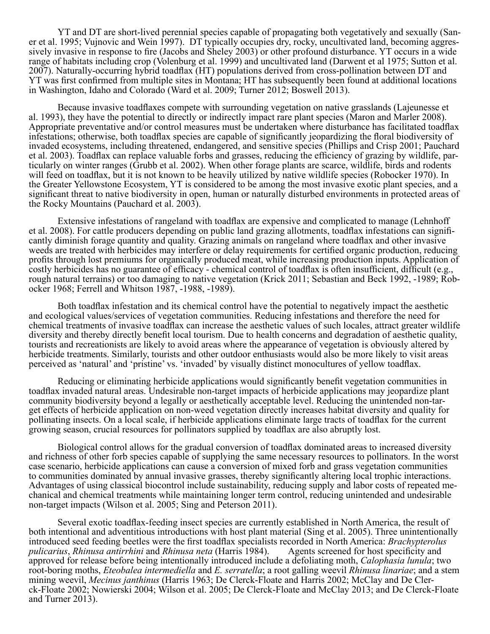YT and DT are short-lived perennial species capable of propagating both vegetatively and sexually (San-<br>er et al. 1995; Vujnovic and Wein 1997). DT typically occupies dry, rocky, uncultivated land, becoming aggres-<br>sively range of habitats including crop (Volenburg et al. 1999) and uncultivated land (Darwent et al 1975; Sutton et al. 2007). Naturally-occurring hybrid toadflax (HT) populations derived from cross-pollination between DT and YT was first confirmed from multiple sites in Montana; HT has subsequently been found at additional locations in Washington, Idaho and Colorado (Ward et al. 2009; Turner 2012; Boswell 2013).

Because invasive toadflaxes compete with surrounding vegetation on native grasslands (Lajeunesse et al. 1993), they have the potential to directly or indirectly impact rare plant species (Maron and Marler 2008). Appropriate preventative and/or control measures must be undertaken where disturbance has facilitated toadflax infestations; otherwise, both toadflax species are capable of significantly jeopardizing the floral biodiversity of invaded ecosystems, including threatened, endangered, and sensitive species (Phillips and Crisp 2001; Pauchard<br>et al. 2003). Toadflax can replace valuable forbs and grasses, reducing the efficiency of grazing by wildlife, ticularly on winter ranges (Grubb et al. 2002). When other forage plants are scarce, wildlife, birds and rodents will feed on toadflax, but it is not known to be heavily utilized by native wildlife species (Robocker 1970). In the Greater Yellowstone Ecosystem, YT is considered to be among the most invasive exotic plant species, and a significant threat to native biodiversity in open, human or naturally disturbed environments in protected areas of the Rocky Mountains (Pauchard et al. 2003).

Extensive infestations of rangeland with toadflax are expensive and complicated to manage (Lehnhoff et al. 2008). For cattle producers depending on public land grazing allotments, toadflax infestations can significantly diminish forage quantity and quality. Grazing animals on rangeland where toadflax and other invasive weeds are treated with herbicides may interfere or delay requirements for certified organic production, reducing profits through lost premiums for organically produced meat, while increasing production inputs. Application of costly herbicides has no guarantee of efficacy - chemical control of toadflax is often insufficient, difficult (e.g., rough natural terrains) or too damaging to native vegetation (Krick 2011; Sebastian and Beck 1992, -1989; Robocker 1968; Ferrell and Whitson 1987, -1988, -1989).

Both toadflax infestation and its chemical control have the potential to negatively impact the aesthetic and ecological values/services of vegetation communities. Reducing infestations and therefore the need for chemical treatments of invasive toadflax can increase the aesthetic values of such locales, attract greater wildlife diversity and thereby directly benefit local tourism. Due to health concerns and degradation of aesthetic quality, tourists and recreationists are likely to avoid areas where the appearance of vegetation is obviously altered by herbicide treatments. Similarly, tourists and other outdoor enthusiasts would also be more likely to visit areas perceived as 'natural' and 'pristine' vs. 'invaded' by visually distinct monocultures of yellow toadflax.

Reducing or eliminating herbicide applications would significantly benefit vegetation communities in toadflax invaded natural areas. Undesirable non-target impacts of herbicide applications may jeopardize plant community biodiversity beyond a legally or aesthetically acceptable level. Reducing the unintended non-target effects of herbicide application on non-weed vegetation directly increases habitat diversity and quality for pollinating insects. On a local scale, if herbicide applications eliminate large tracts of toadflax for the current growing season, crucial resources for pollinators supplied by toadflax are also abruptly lost.

Biological control allows for the gradual conversion of toadflax dominated areas to increased diversity and richness of other forb species capable of supplying the same necessary resources to pollinators. In the worst case scenario, herbicide applications can cause a conversion of mixed forb and grass vegetation communities to communities dominated by annual invasive grasses, thereby significantly altering local trophic interactions. Advantages of using classical biocontrol include sustainability, reducing supply and labor costs of repeated mechanical and chemical treatments while maintaining longer term control, reducing unintended and undesirable non-target impacts (Wilson et al. 2005; Sing and Peterson 2011).

Several exotic toadflax-feeding insect species are currently established in North America, the result of both intentional and adventitious introductions with host plant material (Sing et al. 2005). Three unintentionally introduced seed feeding beetles were the first toadflax specialists recorded in North America: *Brachypterolus pulicarius, Rhinusa antirrhini* and *Rhinusa neta* (Harris 1984). approved for release before being intentionally introduced include a defoliating moth, *Calophasia lunula*; two root-boring moths, *Eteobalea intermediella* and *E. serratella*; a root galling weevil *Rhinusa linariae*; and a stem mining weevil, *Mecinus janthinus* (Harris 1963; De Clerck-Floate and Harris 2002; McClay and De Clerck-Floate 2002; Nowierski 2004; Wilson et al. 2005; De Clerck-Floate and McClay 2013; and De Clerck-Floate and Turner 2013).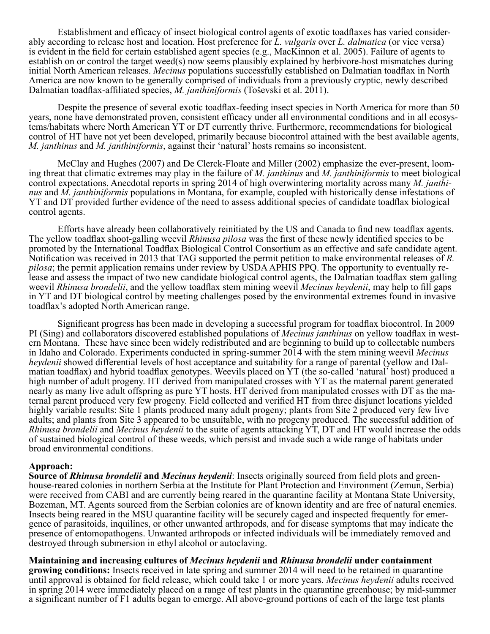Establishment and efficacy of insect biological control agents of exotic toadflaxes has varied considerably according to release host and location. Host preference for L. vulgaris over L. dalmatica (or vice versa) is evident in the field for certain established agent species (e.g., MacKinnon et al. 2005). Failure of agents to establish on or control the target weed(s) now seems plausibly explained by herbivore-host mismatches during initial North American releases. *Mecinus* populations successfully established on Dalmatian toadflax in North America are now known to be generally comprised of individuals from a previously cryptic, newly described Dalmatian toadflax-affiliated species, *M. janthiniformis* (Toševski et al. 2011).

Despite the presence of several exotic toadflax-feeding insect species in North America for more than 50 years, none have demonstrated proven, consistent efficacy under all environmental conditions and in all ecosystems/habitats where North American YT or DT currently thrive. Furthermore, recommendations for biological control of HT have not yet been developed, primarily because biocontrol attained with the best available agents, *M. janthinus* and *M. janthiniformis*, against their 'natural' hosts remains so inconsistent.

McClay and Hughes (2007) and De Clerck-Floate and Miller (2002) emphasize the ever-present, looming threat that climatic extremes may play in the failure of *M. janthinus* and *M. janthiniformis* to meet biological control expectations. Anecdotal reports in spring 2014 of high overwintering mortality across many *M. janthinus* and *M. janthiniformis* populations in Montana, for example, coupled with historically dense infestations of YT and DT provided further evidence of the need to assess additional species of candidate toadflax biological control agents.

Efforts have already been collaboratively reinitiated by the US and Canada to find new toadflax agents. The yellow toadflax shoot-galling weevil *Rhinusa pilosa* was the first of these newly identified species to be promoted by the International Toadflax Biological Control Consortium as an effective and safe candidate agent. Notification was received in 2013 that TAG supported the permit petition to make environmental releases of *R. pilosa*; the permit application remains under review by USDA APHIS PPQ. The opportunity to eventually release and assess the impact of two new candidate biological control agents, the Dalmatian toadflax stem galling weevil *Rhinusa brondelii*, and the yellow toadflax stem mining weevil *Mecinus heydenii*, may help to fill gaps in YT and DT biological control by meeting challenges posed by the environmental extremes found in invasive toadflax's adopted North American range.

Significant progress has been made in developing a successful program for toadflax biocontrol. In 2009 PI (Sing) and collaborators discovered established populations of *Mecinus janthinus* on yellow toadflax in western Montana. These have since been widely redistributed and are beginning to build up to collectable numbers in Idaho and Colorado. Experiments conducted in spring-summer 2014 with the stem mining weevil *Mecinus heydenii* showed differential levels of host acceptance and suitability for a range of parental (yellow and Dalmatian toadflax) and hybrid toadflax genotypes. Weevils placed on YT (the so-called 'natural' host) produced a high number of adult progeny. HT derived from manipulated crosses with YT as the maternal parent generated nearly as many live adult offspring as pure YT hosts. HT derived from manipulated crosses with DT as the maternal parent produced very few progeny. Field collected and verified HT from three disjunct locations yielded highly variable results: Site 1 plants produced many adult progeny; plants from Site 2 produced very few live adults; and plants from Site 3 appeared to be unsuitable, with no progeny produced. The successful addition of *Rhinusa brondelii* and *Mecinus heydenii* to the suite of agents attacking YT, DT and HT would increase the odds of sustained biological control of these weeds, which persist and invade such a wide range of habitats under broad environmental conditions.

### **Approach:**

**Source of** *Rhinusa brondelii* **and** *Mecinus heydenii*: Insects originally sourced from field plots and greenhouse-reared colonies in northern Serbia at the Institute for Plant Protection and Environment (Zemun, Serbia) were received from CABI and are currently being reared in the quarantine facility at Montana State University, Bozeman, MT. Agents sourced from the Serbian colonies are of known identity and are free of natural enemies. Insects being reared in the MSU quarantine facility will be securely caged and inspected frequently for emergence of parasitoids, inquilines, or other unwanted arthropods, and for disease symptoms that may indicate the presence of entomopathogens. Unwanted arthropods or infected individuals will be immediately removed and destroyed through submersion in ethyl alcohol or autoclaving.

**Maintaining and increasing cultures of** *Mecinus heydenii* **and** *Rhinusa brondelii* **under containment growing conditions:** Insects received in late spring and summer 2014 will need to be retained in quarantine until approval is obtained for field release, which could take 1 or more years. *Mecinus heydenii* adults received in spring 2014 were immediately placed on a range of test plants in the quarantine greenhouse; by mid-summer a significant number of F1 adults began to emerge. All above-ground portions of each of the large test plants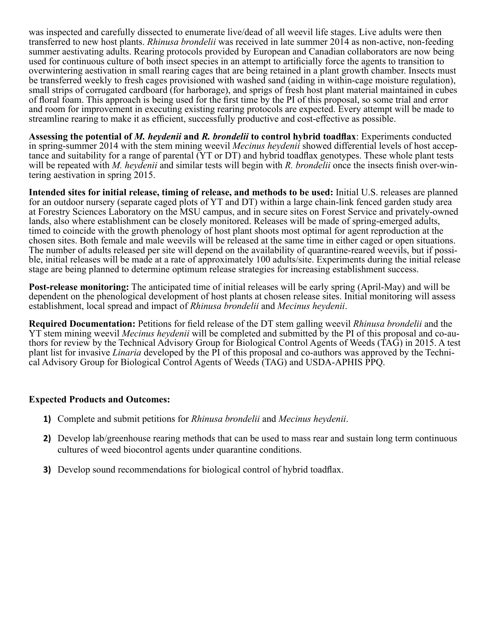was inspected and carefully dissected to enumerate live/dead of all weevil life stages. Live adults were then transferred to new host plants. *Rhinusa brondelii* was received in late summer 2014 as non-active, non-feeding summer aestivating adults. Rearing protocols provided by European and Canadian collaborators are now being used for continuous culture of both insect species in an attempt to artificially force the agents to transition to overwintering aestivation in small rearing cages that are being retained in a plant growth chamber. Insects must be transferred weekly to fresh cages provisioned with washed sand (aiding in within-cage moisture regulation), small strips of corrugated cardboard (for harborage), and sprigs of fresh host plant material maintained in cubes of floral foam. This approach is being used for the first time by the PI of this proposal, so some trial and error and room for improvement in executing existing rearing protocols are expected. Every attempt will be made to streamline rearing to make it as efficient, successfully productive and cost-effective as possible.

**Assessing the potential of** *M. heydenii* **and** *R. brondelii* **to control hybrid toadflax**: Experiments conducted tance and suitability for a range of parental (YT or DT) and hybrid toadflax genotypes. These whole plant tests will be repeated with *M. heydenii* and similar tests will begin with *R. brondelii* once the insects finish over-win-<br>tering aestivation in spring 2015.

**Intended sites for initial release, timing of release, and methods to be used:** Initial U.S. releases are planned for an outdoor nursery (separate caged plots of YT and DT) within a large chain-link fenced garden study area at Forestry Sciences Laboratory on the MSU campus, and in secure sites on Forest Service and privately-owned lands, also where establishment can be closely monitored. Releases will be made of spring-emerged adults, timed to coincide with the growth phenology of host plant shoots most optimal for agent reproduction at the chosen sites. Both female and male weevils will be released at the same time in either caged or open situations. The number of adults released per site will depend on the availability of quarantine-reared weevils, but if possible, initial releases will be made at a rate of approximately 100 adults/site. Experiments during the initial release stage are being planned to determine optimum release strategies for increasing establishment success.

**Post-release monitoring:** The anticipated time of initial releases will be early spring (April-May) and will be dependent on the phenological development of host plants at chosen release sites. Initial monitoring will assess establishment, local spread and impact of *Rhinusa brondelii* and *Mecinus heydenii*.

**Required Documentation:** Petitions for field release of the DT stem galling weevil *Rhinusa brondelii* and the YT stem mining weevil *Mecinus heydenii* will be completed and submitted by the PI of this proposal and co-authors for review by the Technical Advisory Group for Biological Control Agents of Weeds (TAG) in 2015. A test plant list for invasive *Linaria* developed by the PI of this proposal and co-authors was approved by the Technical Advisory Group for Biological Control Agents of Weeds (TAG) and USDA-APHIS PPQ.

## **Expected Products and Outcomes:**

- **1)** Complete and submit petitions for *Rhinusa brondelii* and *Mecinus heydenii*.
- **2)** Develop lab/greenhouse rearing methods that can be used to mass rear and sustain long term continuous cultures of weed biocontrol agents under quarantine conditions.
- **3)** Develop sound recommendations for biological control of hybrid toadflax.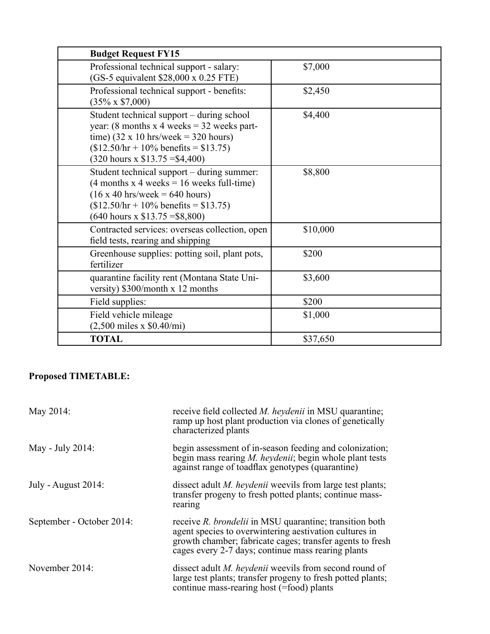| <b>Budget Request FY15</b>                                                                                                                                                                                                                           |          |
|------------------------------------------------------------------------------------------------------------------------------------------------------------------------------------------------------------------------------------------------------|----------|
| Professional technical support - salary:<br>(GS-5 equivalent \$28,000 x 0.25 FTE)                                                                                                                                                                    | \$7,000  |
| Professional technical support - benefits:<br>$(35\% \times $7,000)$                                                                                                                                                                                 | \$2,450  |
| Student technical support – during school<br>year: (8 months x 4 weeks = $32$ weeks part-<br>time) $(32 \times 10 \text{ hrs/week} = 320 \text{ hours})$<br>$($12.50/hr + 10\% benefits = $13.75)$<br>$(320 \text{ hours} \times \$13.75 = \$4,400)$ | \$4,400  |
| Student technical support – during summer:<br>$(4$ months x 4 weeks = 16 weeks full-time)<br>$(16 \times 40 \text{ hrs/week} = 640 \text{ hours})$<br>$($12.50/hr + 10\% benefits = $13.75)$<br>$(640 \text{ hours} \times \$13.75 = \$8,800)$       | \$8,800  |
| Contracted services: overseas collection, open<br>field tests, rearing and shipping                                                                                                                                                                  | \$10,000 |
| Greenhouse supplies: potting soil, plant pots,<br>fertilizer                                                                                                                                                                                         | \$200    |
| quarantine facility rent (Montana State Uni-<br>versity) \$300/month x 12 months                                                                                                                                                                     | \$3,600  |
| Field supplies:                                                                                                                                                                                                                                      | \$200    |
| Field vehicle mileage<br>$(2,500 \text{ miles x } $0.40/\text{mi})$                                                                                                                                                                                  | \$1,000  |
| <b>TOTAL</b>                                                                                                                                                                                                                                         | \$37,650 |

# **Proposed TIMETABLE:**

| May 2014:                 | receive field collected <i>M. heydenii</i> in MSU quarantine;<br>ramp up host plant production via clones of genetically<br>characterized plants                                                                                     |
|---------------------------|--------------------------------------------------------------------------------------------------------------------------------------------------------------------------------------------------------------------------------------|
| May - July 2014:          | begin assessment of in-season feeding and colonization;<br>begin mass rearing <i>M. heydenii</i> ; begin whole plant tests<br>against range of toadflax genotypes (quarantine)                                                       |
| July - August $2014$ :    | dissect adult <i>M. heydenii</i> weevils from large test plants;<br>transfer progeny to fresh potted plants; continue mass-<br>rearing                                                                                               |
| September - October 2014: | receive R. brondelii in MSU quarantine; transition both<br>agent species to overwintering aestivation cultures in<br>growth chamber; fabricate cages; transfer agents to fresh<br>cages every 2-7 days; continue mass rearing plants |
| November 2014:            | dissect adult <i>M. heydenii</i> weevils from second round of<br>large test plants; transfer progeny to fresh potted plants;<br>continue mass-rearing host (=food) plants                                                            |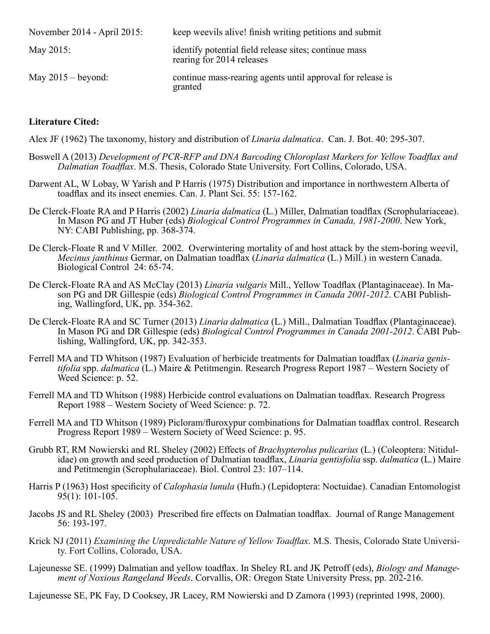| November 2014 - April 2015: | keep weevils alive! finish writing petitions and submit                            |
|-----------------------------|------------------------------------------------------------------------------------|
| May 2015:                   | identify potential field release sites; continue mass<br>rearing for 2014 releases |
| May $2015 -$ beyond:        | continue mass-rearing agents until approval for release is<br>granted              |

## **Literature Cited:**

Alex JF (1962) The taxonomy, history and distribution of *Linaria dalmatica*. Can. J. Bot. 40: 295-307.

- Boswell A (2013) *Development of PCR-RFP and DNA Barcoding Chloroplast Markers for Yellow Toadflax and Dalmatian Toadflax*. M.S. Thesis, Colorado State University. Fort Collins, Colorado, USA.
- Darwent AL, W Lobay, W Yarish and P Harris (1975) Distribution and importance in northwestern Alberta of toadflax and its insect enemies. Can. J. Plant Sci. 55: 157-162.
- De Clerck-Floate RA and P Harris (2002) *Linaria dalmatica* (L.) Miller, Dalmatian toadflax (Scrophulariaceae). In Mason PG and JT Huber (eds) *Biological Control Programmes in Canada, 1981-2000*. New York, NY: CABI Publishing, pp. 368-374.
- De Clerck-Floate R and V Miller. 2002. Overwintering mortality of and host attack by the stem-boring weevil, *Mecinus janthinus* Germar, on Dalmatian toadflax (*Linaria dalmatica* (L.) Mill.) in western Canada. Biological Control 24: 65-74.
- De Clerck-Floate RA and AS McClay (2013) *Linaria vulgaris* Mill., Yellow Toadflax (Plantaginaceae). In Mason PG and DR Gillespie (eds) *Biological Control Programmes in Canada 2001-2012*. CABI Publishing, Wallingford, UK, pp. 354-362.
- De Clerck-Floate RA and SC Turner (2013) *Linaria dalmatica* (L.) Mill., Dalmatian Toadflax (Plantaginaceae). In Mason PG and DR Gillespie (eds) *Biological Control Programmes in Canada 2001-2012*. CABI Publishing, Wallingford, UK, pp. 342-353.
- Ferrell MA and TD Whitson (1987) Evaluation of herbicide treatments for Dalmatian toadflax (*Linaria genistifolia* spp. *dalmatica* (L.) Maire & Petitmengin. Research Progress Report 1987 – Western Society of Weed Science: p. 52.
- Ferrell MA and TD Whitson (1988) Herbicide control evaluations on Dalmatian toadflax. Research Progress Report 1988 – Western Society of Weed Science: p. 72.
- Ferrell MA and TD Whitson (1989) Picloram/fluroxypur combinations for Dalmatian toadflax control. Research Progress Report 1989 – Western Society of Weed Science: p. 95.
- Grubb RT, RM Nowierski and RL Sheley (2002) Effects of *Brachypterolus pulicarius* (L.) (Coleoptera: Nitidulidae) on growth and seed production of Dalmatian toadflax, *Linaria gentisfolia* ssp. *dalmatica* (L.) Maire and Petitmengin (Scrophulariaceae). Biol. Control 23: 107–114.
- Harris P (1963) Host specificity of *Calophasia lunula* (Hufn.) (Lepidoptera: Noctuidae). Canadian Entomologist 95(1): 101-105.
- Jacobs JS and RL Sheley (2003) Prescribed fire effects on Dalmatian toadflax. Journal of Range Management 56: 193-197.
- Krick NJ (2011) *Examining the Unpredictable Nature of Yellow Toadflax*. M.S. Thesis, Colorado State University. Fort Collins, Colorado, USA.
- Lajeunesse SE. (1999) Dalmatian and yellow toadflax. In Sheley RL and JK Petroff (eds), *Biology and Manage- ment of Noxious Rangeland Weeds*. Corvallis, OR: Oregon State University Press, pp. 202-216.

Lajeunesse SE, PK Fay, D Cooksey, JR Lacey, RM Nowierski and D Zamora (1993) (reprinted 1998, 2000).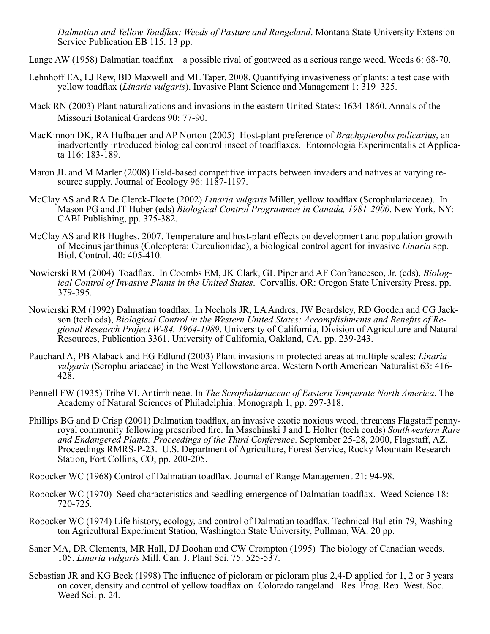*Dalmatian and Yellow Toadflax: Weeds of Pasture and Rangeland*. Montana State University Extension Service Publication EB 115. 13 pp.

Lange AW (1958) Dalmatian toadflax – a possible rival of goatweed as a serious range weed. Weeds 6: 68-70.

- Lehnhoff EA, LJ Rew, BD Maxwell and ML Taper. 2008. Quantifying invasiveness of plants: a test case with yellow toadflax (*Linaria vulgaris*). Invasive Plant Science and Management 1: 319–325.
- Mack RN (2003) Plant naturalizations and invasions in the eastern United States: 1634-1860. Annals of the Missouri Botanical Gardens 90: 77-90.
- MacKinnon DK, RA Hufbauer and AP Norton (2005) Host-plant preference of *Brachypterolus pulicarius*, an inadvertently introduced biological control insect of toadflaxes. Entomologia Experimentalis et Applicata 116: 183-189.
- Maron JL and M Marler (2008) Field-based competitive impacts between invaders and natives at varying resource supply. Journal of Ecology 96: 1187-1197.
- McClay AS and RA De Clerck-Floate (2002) *Linaria vulgaris* Miller, yellow toadflax (Scrophulariaceae). In Mason PG and JT Huber (eds) *Biological Control Programmes in Canada, 1981-2000*. New York, NY: CABI Publishing, pp. 375-382.
- McClay AS and RB Hughes. 2007. Temperature and host-plant effects on development and population growth of Mecinus janthinus (Coleoptera: Curculionidae), a biological control agent for invasive *Linaria* spp. Biol. Control. 40: 405-410.
- Nowierski RM (2004) Toadflax. In Coombs EM, JK Clark, GL Piper and AF Confrancesco, Jr. (eds), *Biological Control of Invasive Plants in the United States*. Corvallis, OR: Oregon State University Press, pp. 379-395.
- Nowierski RM (1992) Dalmatian toadflax. In Nechols JR, LA Andres, JW Beardsley, RD Goeden and CG Jackson (tech eds), *Biological Control in the Western United States: Accomplishments and Benefits of Regional Research Project W-84, 1964-1989*. University of California, Division of Agriculture and Natural Resources, Publication 3361. University of California, Oakland, CA, pp. 239-243.
- Pauchard A, PB Alaback and EG Edlund (2003) Plant invasions in protected areas at multiple scales: *Linaria vulgaris* (Scrophulariaceae) in the West Yellowstone area. Western North American Naturalist 63: 416- 428.
- Pennell FW (1935) Tribe VI. Antirrhineae. In *The Scrophulariaceae of Eastern Temperate North America*. The Academy of Natural Sciences of Philadelphia: Monograph 1, pp. 297-318.
- Phillips BG and D Crisp (2001) Dalmatian toadflax, an invasive exotic noxious weed, threatens Flagstaff penny- royal community following prescribed fire. In Maschinski J and L Holter (tech cords) *Southwestern Rare and Endangered Plants: Proceedings of the Third Conference*. September 25-28, 2000, Flagstaff, AZ. Proceedings RMRS-P-23. U.S. Department of Agriculture, Forest Service, Rocky Mountain Research Station, Fort Collins, CO, pp. 200-205.

Robocker WC (1968) Control of Dalmatian toadflax. Journal of Range Management 21: 94-98.

- Robocker WC (1970) Seed characteristics and seedling emergence of Dalmatian toadflax. Weed Science 18: 720-725.
- Robocker WC (1974) Life history, ecology, and control of Dalmatian toadflax. Technical Bulletin 79, Washington Agricultural Experiment Station, Washington State University, Pullman, WA. 20 pp.
- Saner MA, DR Clements, MR Hall, DJ Doohan and CW Crompton (1995) The biology of Canadian weeds. 105. *Linaria vulgaris* Mill. Can. J. Plant Sci. 75: 525-537.
- Sebastian JR and KG Beck (1998) The influence of picloram or picloram plus 2,4-D applied for 1, 2 or 3 years on cover, density and control of yellow toadflax on Colorado rangeland. Res. Prog. Rep. West. Soc. Weed Sci. p. 24.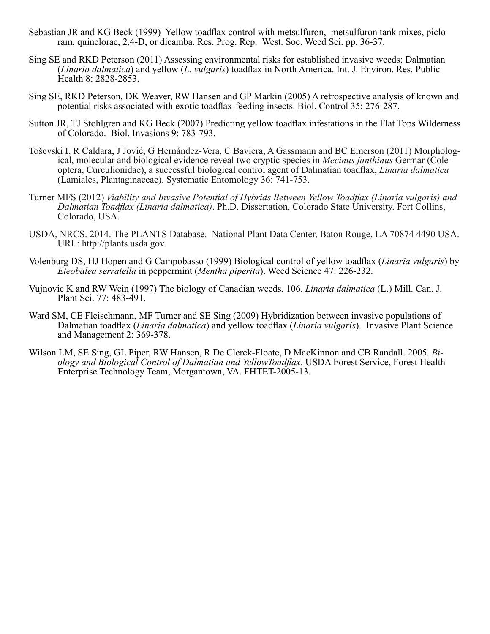- Sebastian JR and KG Beck (1999) Yellow toadflax control with metsulfuron, metsulfuron tank mixes, piclo- ram, quinclorac, 2,4-D, or dicamba. Res. Prog. Rep. West. Soc. Weed Sci. pp. 36-37.
- Sing SE and RKD Peterson (2011) Assessing environmental risks for established invasive weeds: Dalmatian (*Linaria dalmatica*) and yellow (*L. vulgaris*) toadflax in North America. Int. J. Environ. Res. Public Health 8: 2828-2853.
- Sing SE, RKD Peterson, DK Weaver, RW Hansen and GP Markin (2005) A retrospective analysis of known and potential risks associated with exotic toadflax-feeding insects. Biol. Control 35: 276-287.
- Sutton JR, TJ Stohlgren and KG Beck (2007) Predicting yellow toadflax infestations in the Flat Tops Wilderness of Colorado. Biol. Invasions 9: 783-793.
- Toševski I, R Caldara, J Jović, G Hernández-Vera, C Baviera, A Gassmann and BC Emerson (2011) Morphological, molecular and biological evidence reveal two cryptic species in *Mecinus janthinus* Germar (Cole-optera, Curculio (Lamiales, Plantaginaceae). Systematic Entomology 36: 741-753.
- Turner MFS (2012) *Viability and Invasive Potential of Hybrids Between Yellow Toadflax (Linaria vulgaris) and Dalmatian Toadflax (Linaria dalmatica)*. Ph.D. Dissertation, Colorado State University. Fort Collins, Colorado, USA.
- USDA, NRCS. 2014. The PLANTS Database. National Plant Data Center, Baton Rouge, LA 70874 4490 USA. URL: http://plants.usda.gov.
- Volenburg DS, HJ Hopen and G Campobasso (1999) Biological control of yellow toadflax (*Linaria vulgaris*) by *Eteobalea serratella* in peppermint (*Mentha piperita*). Weed Science 47: 226-232.
- Vujnovic K and RW Wein (1997) The biology of Canadian weeds. 106. *Linaria dalmatica* (L.) Mill. Can. J. Plant Sci. 77: 483-491.
- Ward SM, CE Fleischmann, MF Turner and SE Sing (2009) Hybridization between invasive populations of Dalmatian toadflax (*Linaria dalmatica*) and yellow toadflax (*Linaria vulgaris*). Invasive Plant Science and Management 2: 369-378.
- Wilson LM, SE Sing, GL Piper, RW Hansen, R De Clerck-Floate, D MacKinnon and CB Randall. 2005. *Biology and Biological Control of Dalmatian and YellowToadflax*. USDA Forest Service, Forest Health Enterprise Technology Team, Morgantown, VA. FHTET-2005-13.